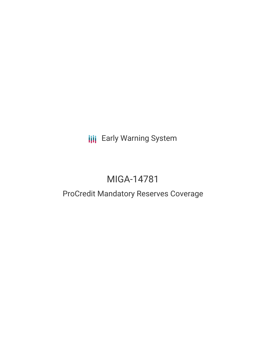**III** Early Warning System

# MIGA-14781

# ProCredit Mandatory Reserves Coverage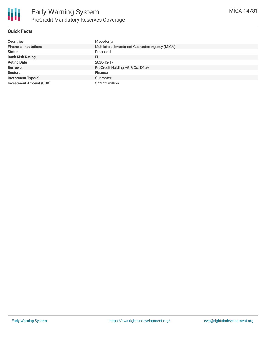

## **Quick Facts**

| <b>Countries</b>               | Macedonia                                       |
|--------------------------------|-------------------------------------------------|
| <b>Financial Institutions</b>  | Multilateral Investment Guarantee Agency (MIGA) |
| <b>Status</b>                  | Proposed                                        |
| <b>Bank Risk Rating</b>        | FI                                              |
| <b>Voting Date</b>             | 2020-12-17                                      |
| <b>Borrower</b>                | ProCredit Holding AG & Co. KGaA                 |
| <b>Sectors</b>                 | Finance                                         |
| <b>Investment Type(s)</b>      | Guarantee                                       |
| <b>Investment Amount (USD)</b> | \$29.23 million                                 |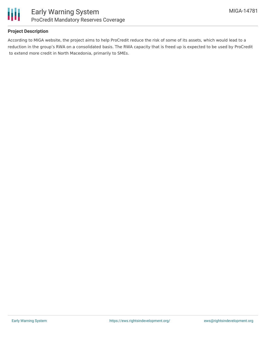

## **Project Description**

According to MIGA website, the project aims to help ProCredit reduce the risk of some of its assets, which would lead to a reduction in the group's RWA on a consolidated basis. The RWA capacity that is freed up is expected to be used by ProCredit to extend more credit in North Macedonia, primarily to SMEs.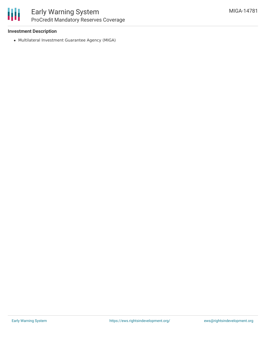#### **Investment Description**

Multilateral Investment Guarantee Agency (MIGA)